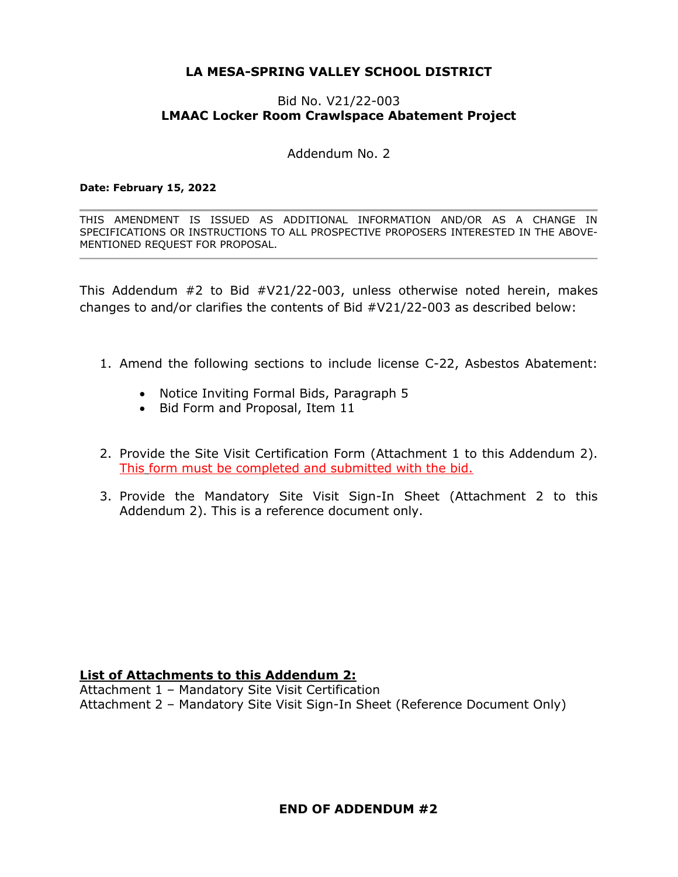# **LA MESA-SPRING VALLEY SCHOOL DISTRICT**

## Bid No. V21/22-003 **LMAAC Locker Room Crawlspace Abatement Project**

Addendum No. 2

#### **Date: February 15, 2022**

THIS AMENDMENT IS ISSUED AS ADDITIONAL INFORMATION AND/OR AS A CHANGE IN SPECIFICATIONS OR INSTRUCTIONS TO ALL PROSPECTIVE PROPOSERS INTERESTED IN THE ABOVE-MENTIONED REQUEST FOR PROPOSAL.

This Addendum #2 to Bid #V21/22-003, unless otherwise noted herein, makes changes to and/or clarifies the contents of Bid #V21/22-003 as described below:

- 1. Amend the following sections to include license C-22, Asbestos Abatement:
	- Notice Inviting Formal Bids, Paragraph 5
	- Bid Form and Proposal, Item 11
- 2. Provide the Site Visit Certification Form (Attachment 1 to this Addendum 2). This form must be completed and submitted with the bid.
- 3. Provide the Mandatory Site Visit Sign-In Sheet (Attachment 2 to this Addendum 2). This is a reference document only.

### **List of Attachments to this Addendum 2:**

Attachment 1 – Mandatory Site Visit Certification Attachment 2 – Mandatory Site Visit Sign-In Sheet (Reference Document Only)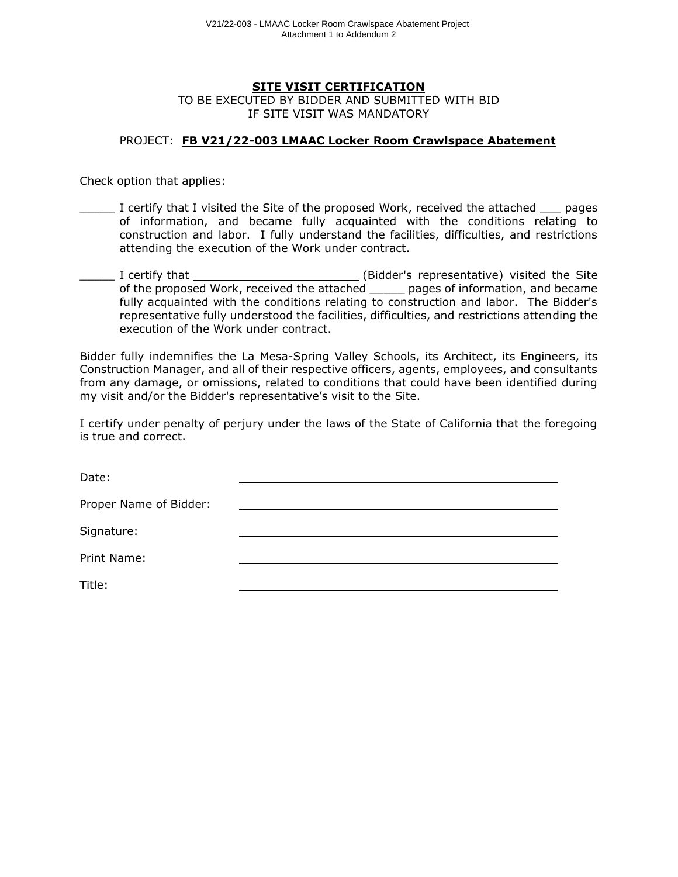#### **SITE VISIT CERTIFICATION**

TO BE EXECUTED BY BIDDER AND SUBMITTED WITH BID IF SITE VISIT WAS MANDATORY

#### PROJECT: **FB V21/22-003 LMAAC Locker Room Crawlspace Abatement**

Check option that applies:

- I certify that I visited the Site of the proposed Work, received the attached  $\_\_$  pages of information, and became fully acquainted with the conditions relating to construction and labor. I fully understand the facilities, difficulties, and restrictions attending the execution of the Work under contract.
- I certify that \_\_\_\_\_\_\_\_\_\_\_\_\_\_\_\_\_\_\_\_\_\_\_\_\_(Bidder's representative) visited the Site of the proposed Work, received the attached \_\_\_\_\_ pages of information, and became fully acquainted with the conditions relating to construction and labor. The Bidder's representative fully understood the facilities, difficulties, and restrictions attending the execution of the Work under contract.

Bidder fully indemnifies the La Mesa-Spring Valley Schools, its Architect, its Engineers, its Construction Manager, and all of their respective officers, agents, employees, and consultants from any damage, or omissions, related to conditions that could have been identified during my visit and/or the Bidder's representative's visit to the Site.

I certify under penalty of perjury under the laws of the State of California that the foregoing is true and correct.

| Date:                  |  |
|------------------------|--|
| Proper Name of Bidder: |  |
| Signature:             |  |
| Print Name:            |  |
| Title:                 |  |